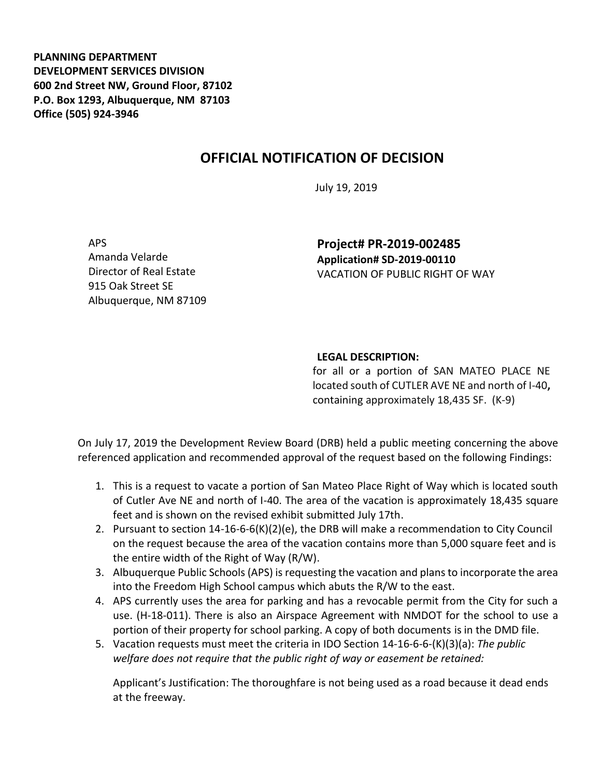**PLANNING DEPARTMENT DEVELOPMENT SERVICES DIVISION 600 2nd Street NW, Ground Floor, 87102 P.O. Box 1293, Albuquerque, NM 87103 Office (505) 924-3946** 

## **OFFICIAL NOTIFICATION OF DECISION**

July 19, 2019

APS Amanda Velarde Director of Real Estate 915 Oak Street SE Albuquerque, NM 87109

**Project# PR-2019-002485 Application# SD-2019-00110** VACATION OF PUBLIC RIGHT OF WAY

## **LEGAL DESCRIPTION:**

for all or a portion of SAN MATEO PLACE NE located south of CUTLER AVE NE and north of I-40**,** containing approximately 18,435 SF. (K-9)

On July 17, 2019 the Development Review Board (DRB) held a public meeting concerning the above referenced application and recommended approval of the request based on the following Findings:

- 1. This is a request to vacate a portion of San Mateo Place Right of Way which is located south of Cutler Ave NE and north of I-40. The area of the vacation is approximately 18,435 square feet and is shown on the revised exhibit submitted July 17th.
- 2. Pursuant to section 14-16-6-6(K)(2)(e), the DRB will make a recommendation to City Council on the request because the area of the vacation contains more than 5,000 square feet and is the entire width of the Right of Way (R/W).
- 3. Albuquerque Public Schools (APS) is requesting the vacation and plans to incorporate the area into the Freedom High School campus which abuts the R/W to the east.
- 4. APS currently uses the area for parking and has a revocable permit from the City for such a use. (H-18-011). There is also an Airspace Agreement with NMDOT for the school to use a portion of their property for school parking. A copy of both documents is in the DMD file.
- 5. Vacation requests must meet the criteria in IDO Section 14-16-6-6-(K)(3)(a): *The public welfare does not require that the public right of way or easement be retained:*

Applicant's Justification: The thoroughfare is not being used as a road because it dead ends at the freeway.